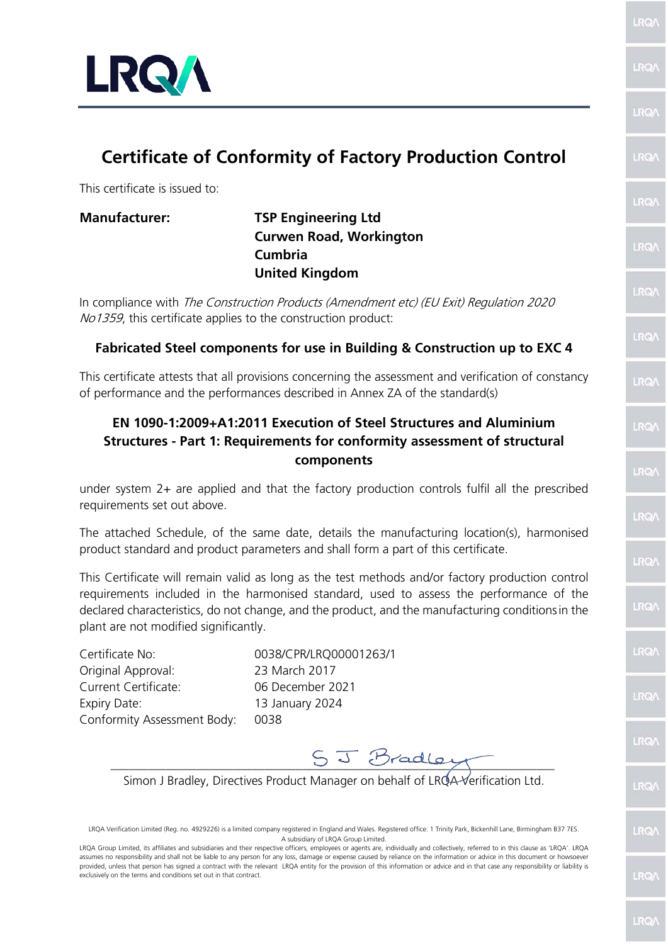

# **Certificate of Conformity of Factory Production Control**

This certificate is issued to:

## **Manufacturer: TSP Engineering Ltd Curwen Road, Workington Cumbria United Kingdom**

In compliance with The Construction Products (Amendment etc) (EU Exit) Regulation 2020 No1359, this certificate applies to the construction product:

### **Fabricated Steel components for use in Building & Construction up to EXC 4**

This certificate attests that all provisions concerning the assessment and verification of constancy of performance and the performances described in Annex ZA of the standard(s)

## **EN 1090-1:2009+A1:2011 Execution of Steel Structures and Aluminium Structures - Part 1: Requirements for conformity assessment of structural components**

under system 2+ are applied and that the factory production controls fulfil all the prescribed requirements set out above.

The attached Schedule, of the same date, details the manufacturing location(s), harmonised product standard and product parameters and shall form a part of this certificate.

This Certificate will remain valid as long as the test methods and/or factory production control requirements included in the harmonised standard, used to assess the performance of the declared characteristics, do not change, and the product, and the manufacturing conditionsin the plant are not modified significantly.

Certificate No: 0038/CPR/LRQ00001263/1 Original Approval: 23 March 2017 Current Certificate: 06 December 2021 Expiry Date: 13 January 2024 Conformity Assessment Body: 0038

 $S_J$   $J$   $B$ radler

Simon J Bradley, Directives Product Manager on behalf of LROA-Verification Ltd.

LRQA Verification Limited (Reg. no. 4929226) is a limited company registered in England and Wales. Registered office: 1 Trinity Park, Bickenhill Lane, Birmingham B37 7ES. A subsidiary of LRQA Group Limited.

LRQA Group Limited, its affiliates and subsidiaries and their respective officers, employees or agents are, individually and collectively, referred to in this clause as 'LRQA'. LRQA assumes no responsibility and shall not be liable to any person for any loss, damage or expense caused by reliance on the information or advice in this document or howsoever provided, unless that person has signed a contract with the relevant LRQA entity for the provision of this information or advice and in that case any responsibility or liability is exclusively on the terms and conditions set out in that contract.

LRO)

LRO/

**BO** 

LRO/

**IRQ** 

**RQ** 

LRQ/

LRO/

LRO/

**LRO** 

LRQ/

LRO/

LRQ

LRQ/

**LRQ** 

LRO/

LRO/

LRO/

LRQ

**RQ**